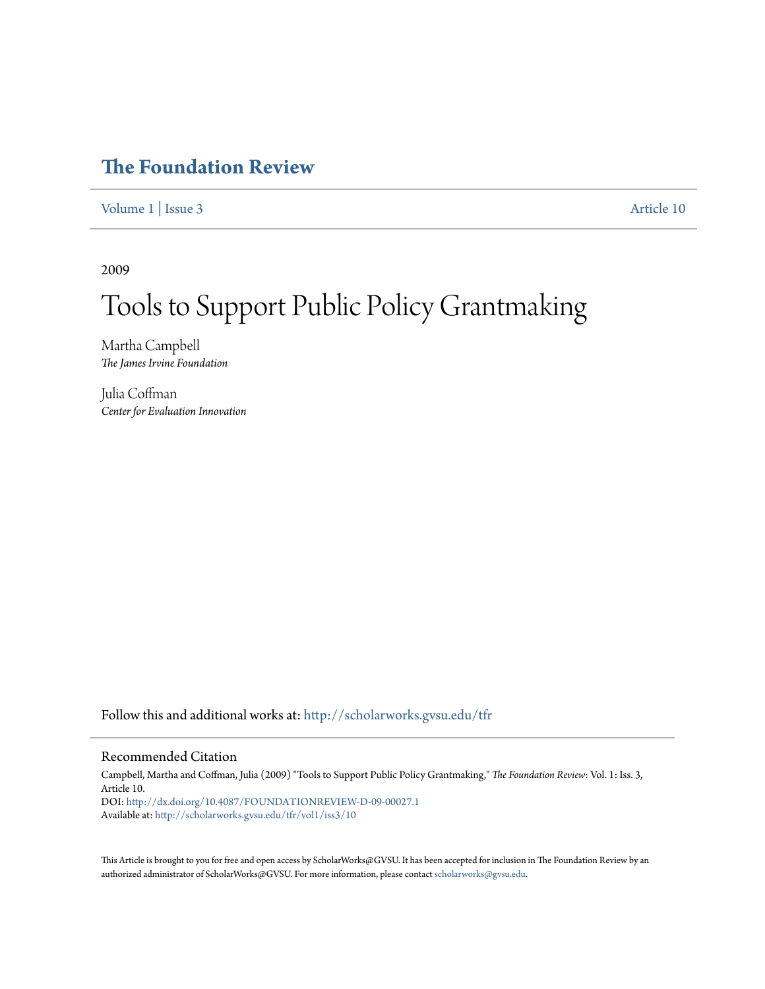## **[The Foundation Review](http://scholarworks.gvsu.edu/tfr?utm_source=scholarworks.gvsu.edu%2Ftfr%2Fvol1%2Fiss3%2F10&utm_medium=PDF&utm_campaign=PDFCoverPages)**

[Volume 1](http://scholarworks.gvsu.edu/tfr/vol1?utm_source=scholarworks.gvsu.edu%2Ftfr%2Fvol1%2Fiss3%2F10&utm_medium=PDF&utm_campaign=PDFCoverPages) | [Issue 3](http://scholarworks.gvsu.edu/tfr/vol1/iss3?utm_source=scholarworks.gvsu.edu%2Ftfr%2Fvol1%2Fiss3%2F10&utm_medium=PDF&utm_campaign=PDFCoverPages) [Article 10](http://scholarworks.gvsu.edu/tfr/vol1/iss3/10?utm_source=scholarworks.gvsu.edu%2Ftfr%2Fvol1%2Fiss3%2F10&utm_medium=PDF&utm_campaign=PDFCoverPages)

2009

# Tools to Support Public Policy Grantmaking

Martha Campbell *The James Irvine Foundation*

Julia Coffman *Center for Evaluation Innovation*

Follow this and additional works at: [http://scholarworks.gvsu.edu/tfr](http://scholarworks.gvsu.edu/tfr?utm_source=scholarworks.gvsu.edu%2Ftfr%2Fvol1%2Fiss3%2F10&utm_medium=PDF&utm_campaign=PDFCoverPages)

## Recommended Citation

Campbell, Martha and Coffman, Julia (2009) "Tools to Support Public Policy Grantmaking," *The Foundation Review*: Vol. 1: Iss. 3, Article 10. DOI: <http://dx.doi.org/10.4087/FOUNDATIONREVIEW-D-09-00027.1> Available at: [http://scholarworks.gvsu.edu/tfr/vol1/iss3/10](http://scholarworks.gvsu.edu/tfr/vol1/iss3/10?utm_source=scholarworks.gvsu.edu%2Ftfr%2Fvol1%2Fiss3%2F10&utm_medium=PDF&utm_campaign=PDFCoverPages)

This Article is brought to you for free and open access by ScholarWorks@GVSU. It has been accepted for inclusion in The Foundation Review by an authorized administrator of ScholarWorks@GVSU. For more information, please contact [scholarworks@gvsu.edu.](mailto:scholarworks@gvsu.edu)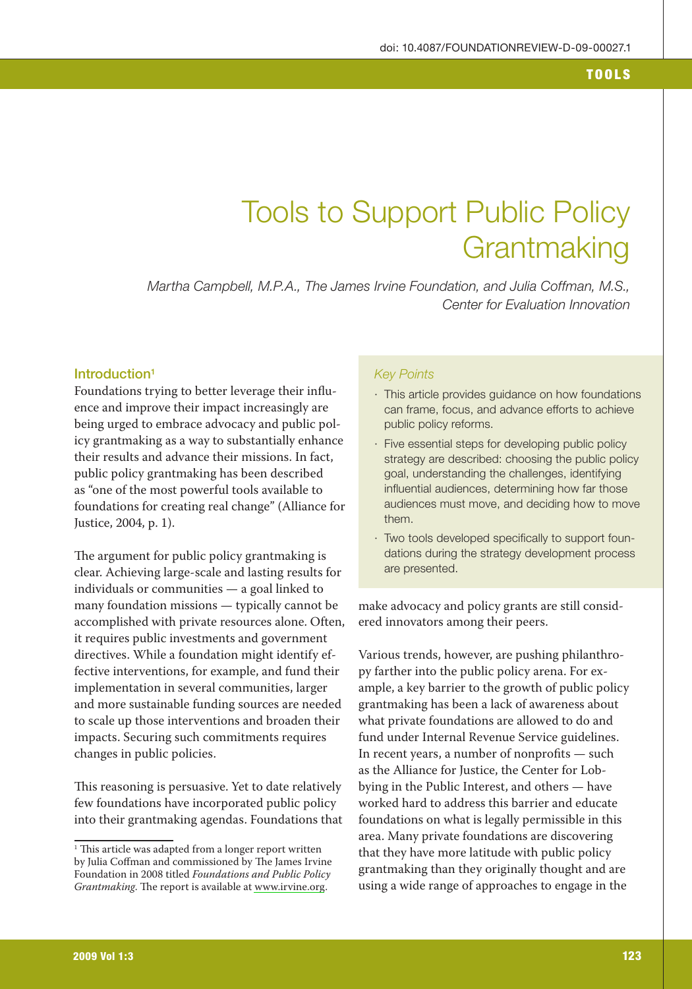# **Tools to Support Public Policy** Grantmaking

Martha Campbell, M.P.A., The James Irvine Foundation, and Julia Coffman, M.S., Center for Evaluation Innovation

## Introduction<sup>1</sup>

Foundations trying to better leverage their influence and improve their impact increasingly are being urged to embrace advocacy and public policy grantmaking as a way to substantially enhance their results and advance their missions. In fact, public policy grantmaking has been described as "one of the most powerful tools available to foundations for creating real change" (Alliance for Justice, 2004, p. 1).

The argument for public policy grantmaking is clear. Achieving large-scale and lasting results for individuals or communities - a goal linked to many foundation missions - typically cannot be accomplished with private resources alone. Often, it requires public investments and government directives. While a foundation might identify effective interventions, for example, and fund their implementation in several communities, larger and more sustainable funding sources are needed to scale up those interventions and broaden their impacts. Securing such commitments requires changes in public policies.

This reasoning is persuasive. Yet to date relatively few foundations have incorporated public policy into their grantmaking agendas. Foundations that

### **Key Points**

- · This article provides guidance on how foundations can frame, focus, and advance efforts to achieve public policy reforms.
- · Five essential steps for developing public policy strategy are described: choosing the public policy goal, understanding the challenges, identifying influential audiences, determining how far those audiences must move, and deciding how to move them.
- · Two tools developed specifically to support foundations during the strategy development process are presented.

make advocacy and policy grants are still considered innovators among their peers.

Various trends, however, are pushing philanthropy farther into the public policy arena. For example, a key barrier to the growth of public policy grantmaking has been a lack of awareness about what private foundations are allowed to do and fund under Internal Revenue Service guidelines. In recent years, a number of nonprofits — such as the Alliance for Justice, the Center for Lobbying in the Public Interest, and others — have worked hard to address this barrier and educate foundations on what is legally permissible in this area. Many private foundations are discovering that they have more latitude with public policy grantmaking than they originally thought and are using a wide range of approaches to engage in the

<sup>&</sup>lt;sup>1</sup> This article was adapted from a longer report written by Julia Coffman and commissioned by The James Irvine Foundation in 2008 titled Foundations and Public Policy Grantmaking. The report is available at www.irvine.org.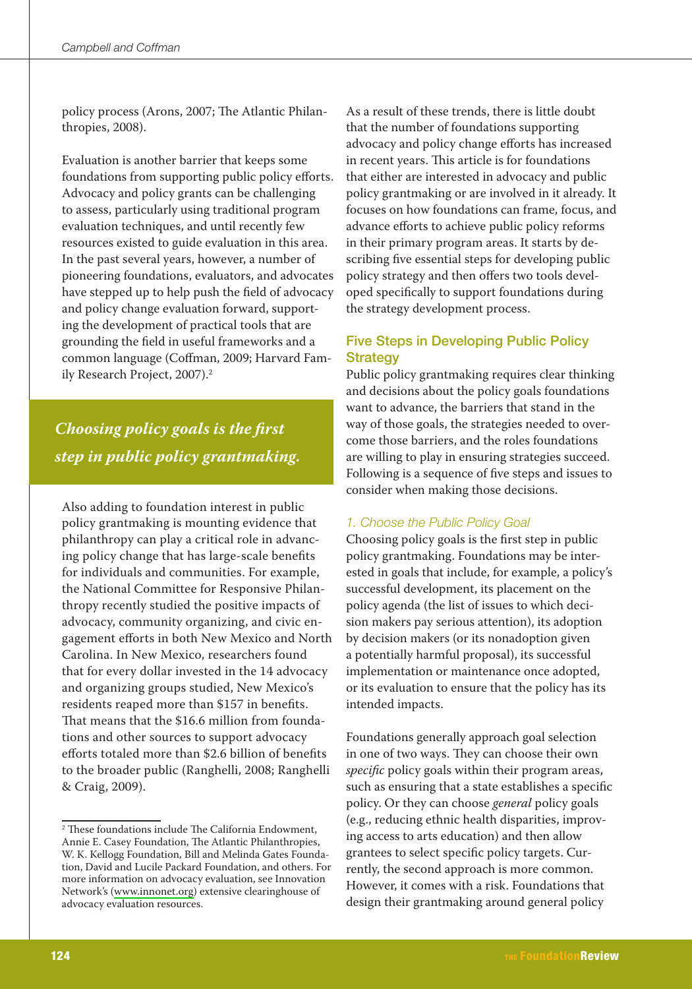policy process (Arons, 2007; The Atlantic Philanthropies, 2008).

Evaluation is another barrier that keeps some foundations from supporting public policy efforts. Advocacy and policy grants can be challenging to assess, particularly using traditional program evaluation techniques, and until recently few resources existed to guide evaluation in this area. In the past several years, however, a number of pioneering foundations, evaluators, and advocates have stepped up to help push the field of advocacy and policy change evaluation forward, supporting the development of practical tools that are grounding the field in useful frameworks and a common language (Coffman, 2009; Harvard Family Research Project, 2007).<sup>2</sup>

## Choosing policy goals is the first step in public policy grantmaking.

Also adding to foundation interest in public policy grantmaking is mounting evidence that philanthropy can play a critical role in advancing policy change that has large-scale benefits for individuals and communities. For example, the National Committee for Responsive Philanthropy recently studied the positive impacts of advocacy, community organizing, and civic engagement efforts in both New Mexico and North Carolina. In New Mexico, researchers found that for every dollar invested in the 14 advocacy and organizing groups studied, New Mexico's residents reaped more than \$157 in benefits. That means that the \$16.6 million from foundations and other sources to support advocacy efforts totaled more than \$2.6 billion of benefits to the broader public (Ranghelli, 2008; Ranghelli & Craig, 2009).

As a result of these trends, there is little doubt that the number of foundations supporting advocacy and policy change efforts has increased in recent years. This article is for foundations that either are interested in advocacy and public policy grantmaking or are involved in it already. It focuses on how foundations can frame, focus, and advance efforts to achieve public policy reforms in their primary program areas. It starts by describing five essential steps for developing public policy strategy and then offers two tools developed specifically to support foundations during the strategy development process.

## **Five Steps in Developing Public Policy Strategy**

Public policy grantmaking requires clear thinking and decisions about the policy goals foundations want to advance, the barriers that stand in the way of those goals, the strategies needed to overcome those barriers, and the roles foundations are willing to play in ensuring strategies succeed. Following is a sequence of five steps and issues to consider when making those decisions.

## 1. Choose the Public Policy Goal

Choosing policy goals is the first step in public policy grantmaking. Foundations may be interested in goals that include, for example, a policy's successful development, its placement on the policy agenda (the list of issues to which decision makers pay serious attention), its adoption by decision makers (or its nonadoption given a potentially harmful proposal), its successful implementation or maintenance once adopted, or its evaluation to ensure that the policy has its intended impacts.

Foundations generally approach goal selection in one of two ways. They can choose their own specific policy goals within their program areas, such as ensuring that a state establishes a specific policy. Or they can choose general policy goals (e.g., reducing ethnic health disparities, improving access to arts education) and then allow grantees to select specific policy targets. Currently, the second approach is more common. However, it comes with a risk. Foundations that design their grantmaking around general policy

<sup>&</sup>lt;sup>2</sup> These foundations include The California Endowment, Annie E. Casey Foundation, The Atlantic Philanthropies, W. K. Kellogg Foundation, Bill and Melinda Gates Foundation, David and Lucile Packard Foundation, and others. For more information on advocacy evaluation, see Innovation Network's (www.innonet.org) extensive clearinghouse of advocacy evaluation resources.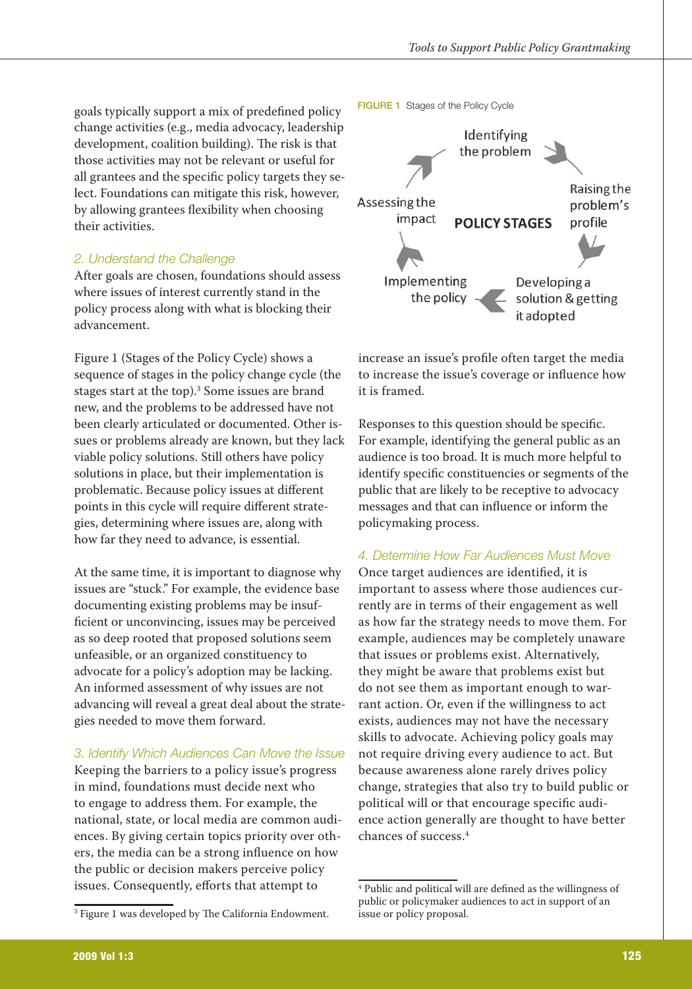goals typically support a mix of predefined policy change activities (e.g., media advocacy, leadership development, coalition building). The risk is that those activities may not be relevant or useful for all grantees and the specific policy targets they select. Foundations can mitigate this risk, however, by allowing grantees flexibility when choosing their activities.

## 2. Understand the Challenge

After goals are chosen, foundations should assess where issues of interest currently stand in the policy process along with what is blocking their advancement.

Figure 1 (Stages of the Policy Cycle) shows a sequence of stages in the policy change cycle (the stages start at the top).<sup>3</sup> Some issues are brand new, and the problems to be addressed have not been clearly articulated or documented. Other issues or problems already are known, but they lack viable policy solutions. Still others have policy solutions in place, but their implementation is problematic. Because policy issues at different points in this cycle will require different strategies, determining where issues are, along with how far they need to advance, is essential.

At the same time, it is important to diagnose why issues are "stuck." For example, the evidence base documenting existing problems may be insufficient or unconvincing, issues may be perceived as so deep rooted that proposed solutions seem unfeasible, or an organized constituency to advocate for a policy's adoption may be lacking. An informed assessment of why issues are not advancing will reveal a great deal about the strategies needed to move them forward.

## 3. Identify Which Audiences Can Move the Issue

Keeping the barriers to a policy issue's progress in mind, foundations must decide next who to engage to address them. For example, the national, state, or local media are common audiences. By giving certain topics priority over others, the media can be a strong influence on how the public or decision makers perceive policy issues. Consequently, efforts that attempt to



increase an issue's profile often target the media to increase the issue's coverage or influence how it is framed.

Responses to this question should be specific. For example, identifying the general public as an audience is too broad. It is much more helpful to identify specific constituencies or segments of the public that are likely to be receptive to advocacy messages and that can influence or inform the policymaking process.

## 4. Determine How Far Audiences Must Move

Once target audiences are identified, it is important to assess where those audiences currently are in terms of their engagement as well as how far the strategy needs to move them. For example, audiences may be completely unaware that issues or problems exist. Alternatively, they might be aware that problems exist but do not see them as important enough to warrant action. Or, even if the willingness to act exists, audiences may not have the necessary skills to advocate. Achieving policy goals may not require driving every audience to act. But because awareness alone rarely drives policy change, strategies that also try to build public or political will or that encourage specific audience action generally are thought to have better chances of success<sup>4</sup>

<sup>&</sup>lt;sup>3</sup> Figure 1 was developed by The California Endowment.

<sup>&</sup>lt;sup>4</sup> Public and political will are defined as the willingness of public or policymaker audiences to act in support of an issue or policy proposal.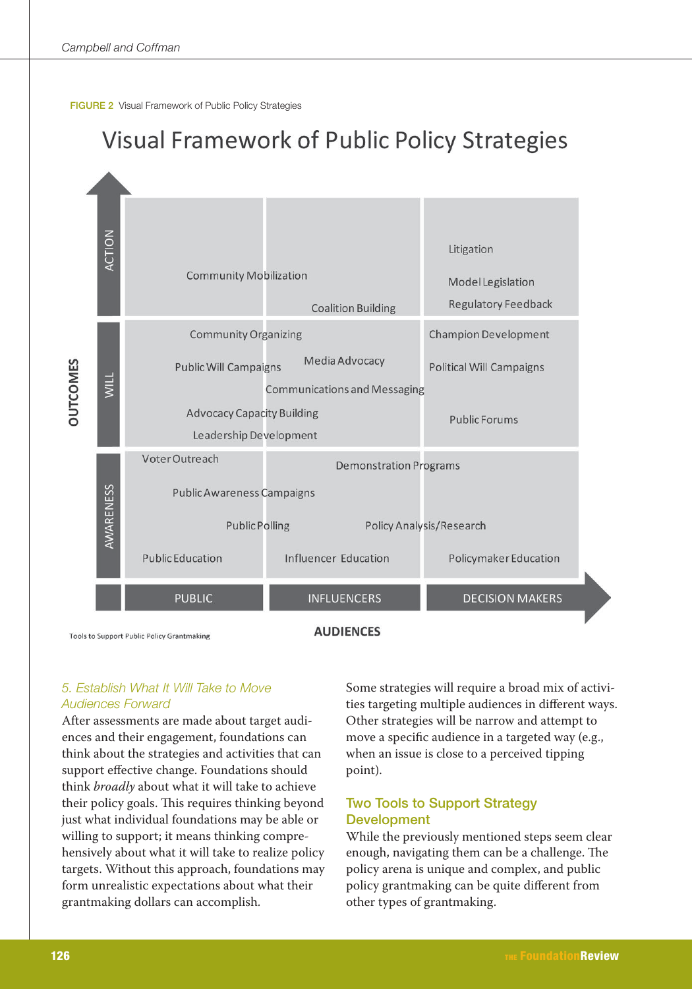



**Tools to Support Public Policy Grantmaking** 

**AUDIENCES** 

## 5. Establish What It Will Take to Move **Audiences Forward**

After assessments are made about target audiences and their engagement, foundations can think about the strategies and activities that can support effective change. Foundations should think broadly about what it will take to achieve their policy goals. This requires thinking beyond just what individual foundations may be able or willing to support; it means thinking comprehensively about what it will take to realize policy targets. Without this approach, foundations may form unrealistic expectations about what their grantmaking dollars can accomplish.

Some strategies will require a broad mix of activities targeting multiple audiences in different ways. Other strategies will be narrow and attempt to move a specific audience in a targeted way (e.g., when an issue is close to a perceived tipping point).

## **Two Tools to Support Strategy Development**

While the previously mentioned steps seem clear enough, navigating them can be a challenge. The policy arena is unique and complex, and public policy grantmaking can be quite different from other types of grantmaking.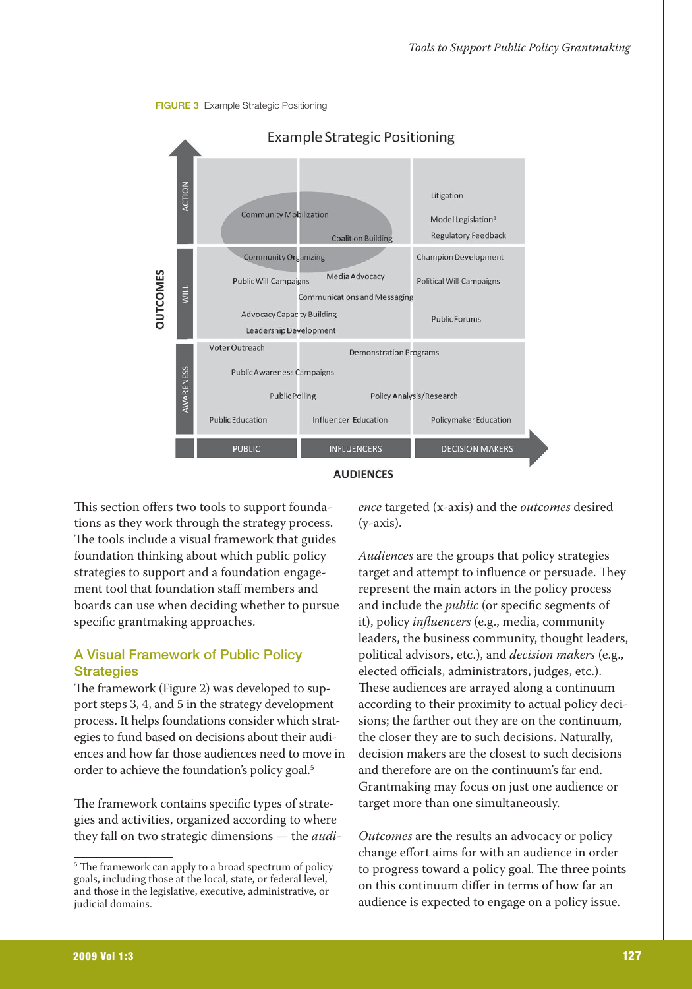





This section offers two tools to support foundations as they work through the strategy process. The tools include a visual framework that guides foundation thinking about which public policy strategies to support and a foundation engagement tool that foundation staff members and boards can use when deciding whether to pursue specific grantmaking approaches.

## **A Visual Framework of Public Policy Strategies**

The framework (Figure 2) was developed to support steps 3, 4, and 5 in the strategy development process. It helps foundations consider which strategies to fund based on decisions about their audiences and how far those audiences need to move in order to achieve the foundation's policy goal.<sup>5</sup>

The framework contains specific types of strategies and activities, organized according to where they fall on two strategic dimensions — the *audi*- ence targeted (x-axis) and the *outcomes* desired  $(v-axis)$ .

Audiences are the groups that policy strategies target and attempt to influence or persuade. They represent the main actors in the policy process and include the *public* (or specific segments of it), policy *influencers* (e.g., media, community leaders, the business community, thought leaders, political advisors, etc.), and *decision makers* (e.g., elected officials, administrators, judges, etc.). These audiences are arrayed along a continuum according to their proximity to actual policy decisions; the farther out they are on the continuum, the closer they are to such decisions. Naturally, decision makers are the closest to such decisions and therefore are on the continuum's far end. Grantmaking may focus on just one audience or target more than one simultaneously.

Outcomes are the results an advocacy or policy change effort aims for with an audience in order to progress toward a policy goal. The three points on this continuum differ in terms of how far an audience is expected to engage on a policy issue.

<sup>&</sup>lt;sup>5</sup> The framework can apply to a broad spectrum of policy goals, including those at the local, state, or federal level, and those in the legislative, executive, administrative, or judicial domains.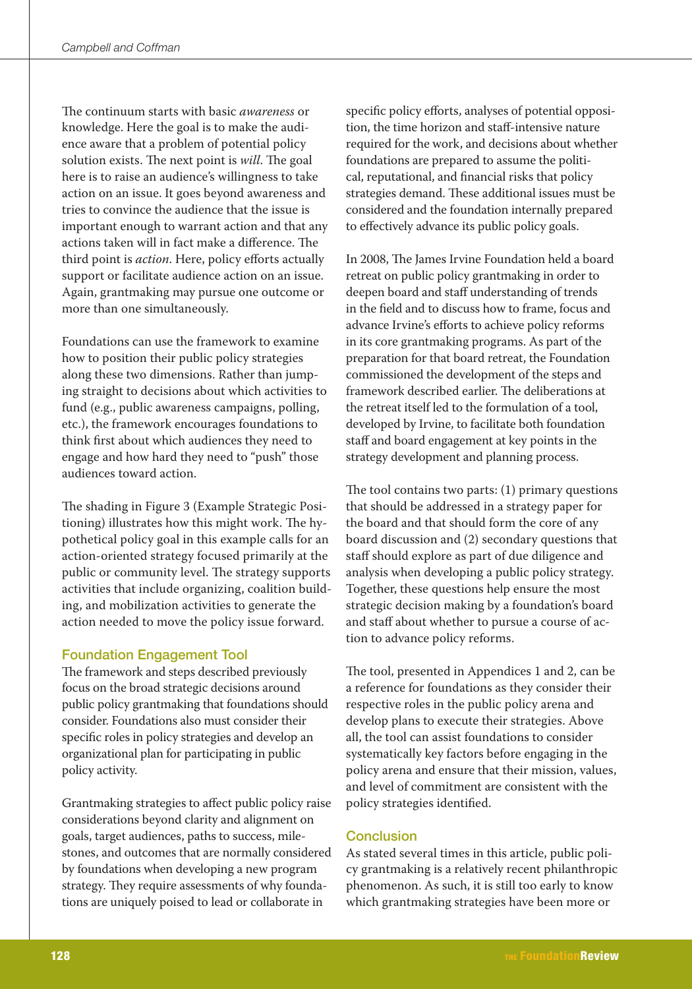The continuum starts with basic awareness or knowledge. Here the goal is to make the audience aware that a problem of potential policy solution exists. The next point is will. The goal here is to raise an audience's willingness to take action on an issue. It goes beyond awareness and tries to convince the audience that the issue is important enough to warrant action and that any actions taken will in fact make a difference. The third point is *action*. Here, policy efforts actually support or facilitate audience action on an issue. Again, grantmaking may pursue one outcome or more than one simultaneously.

Foundations can use the framework to examine how to position their public policy strategies along these two dimensions. Rather than jumping straight to decisions about which activities to fund (e.g., public awareness campaigns, polling, etc.), the framework encourages foundations to think first about which audiences they need to engage and how hard they need to "push" those audiences toward action.

The shading in Figure 3 (Example Strategic Positioning) illustrates how this might work. The hypothetical policy goal in this example calls for an action-oriented strategy focused primarily at the public or community level. The strategy supports activities that include organizing, coalition building, and mobilization activities to generate the action needed to move the policy issue forward.

## **Foundation Engagement Tool**

The framework and steps described previously focus on the broad strategic decisions around public policy grantmaking that foundations should consider. Foundations also must consider their specific roles in policy strategies and develop an organizational plan for participating in public policy activity.

Grantmaking strategies to affect public policy raise considerations beyond clarity and alignment on goals, target audiences, paths to success, milestones, and outcomes that are normally considered by foundations when developing a new program strategy. They require assessments of why foundations are uniquely poised to lead or collaborate in

specific policy efforts, analyses of potential opposition, the time horizon and staff-intensive nature required for the work, and decisions about whether foundations are prepared to assume the political, reputational, and financial risks that policy strategies demand. These additional issues must be considered and the foundation internally prepared to effectively advance its public policy goals.

In 2008, The James Irvine Foundation held a board retreat on public policy grantmaking in order to deepen board and staff understanding of trends in the field and to discuss how to frame, focus and advance Irvine's efforts to achieve policy reforms in its core grantmaking programs. As part of the preparation for that board retreat, the Foundation commissioned the development of the steps and framework described earlier. The deliberations at the retreat itself led to the formulation of a tool. developed by Irvine, to facilitate both foundation staff and board engagement at key points in the strategy development and planning process.

The tool contains two parts:  $(1)$  primary questions that should be addressed in a strategy paper for the board and that should form the core of any board discussion and (2) secondary questions that staff should explore as part of due diligence and analysis when developing a public policy strategy. Together, these questions help ensure the most strategic decision making by a foundation's board and staff about whether to pursue a course of action to advance policy reforms.

The tool, presented in Appendices 1 and 2, can be a reference for foundations as they consider their respective roles in the public policy arena and develop plans to execute their strategies. Above all, the tool can assist foundations to consider systematically key factors before engaging in the policy arena and ensure that their mission, values, and level of commitment are consistent with the policy strategies identified.

## **Conclusion**

As stated several times in this article, public policy grantmaking is a relatively recent philanthropic phenomenon. As such, it is still too early to know which grantmaking strategies have been more or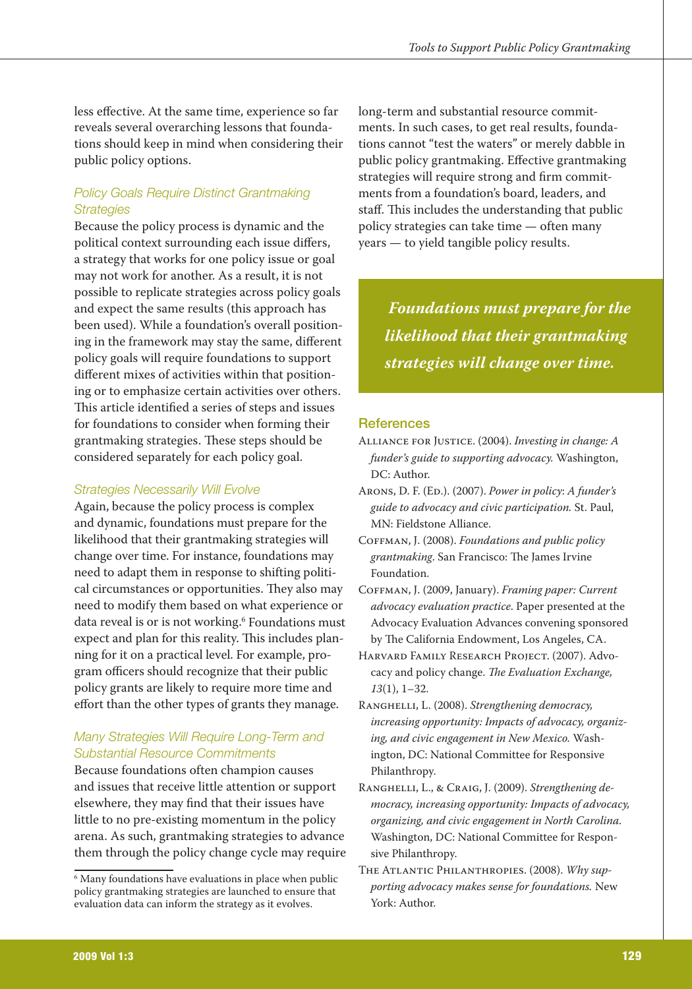less effective. At the same time, experience so far reveals several overarching lessons that foundations should keep in mind when considering their public policy options.

## **Policy Goals Require Distinct Grantmaking Strategies**

Because the policy process is dynamic and the political context surrounding each issue differs, a strategy that works for one policy issue or goal may not work for another. As a result, it is not possible to replicate strategies across policy goals and expect the same results (this approach has been used). While a foundation's overall positioning in the framework may stay the same, different policy goals will require foundations to support different mixes of activities within that positioning or to emphasize certain activities over others. This article identified a series of steps and issues for foundations to consider when forming their grantmaking strategies. These steps should be considered separately for each policy goal.

### **Strategies Necessarily Will Evolve**

Again, because the policy process is complex and dynamic, foundations must prepare for the likelihood that their grantmaking strategies will change over time. For instance, foundations may need to adapt them in response to shifting political circumstances or opportunities. They also may need to modify them based on what experience or data reveal is or is not working.<sup>6</sup> Foundations must expect and plan for this reality. This includes planning for it on a practical level. For example, program officers should recognize that their public policy grants are likely to require more time and effort than the other types of grants they manage.

## Many Strategies Will Reguire Long-Term and **Substantial Resource Commitments**

Because foundations often champion causes and issues that receive little attention or support elsewhere, they may find that their issues have little to no pre-existing momentum in the policy arena. As such, grantmaking strategies to advance them through the policy change cycle may require

long-term and substantial resource commitments. In such cases, to get real results, foundations cannot "test the waters" or merely dabble in public policy grantmaking. Effective grantmaking strategies will require strong and firm commitments from a foundation's board, leaders, and staff. This includes the understanding that public policy strategies can take time — often many years — to yield tangible policy results.

**Foundations must prepare for the** likelihood that their grantmaking strategies will change over time.

#### **References**

- ALLIANCE FOR JUSTICE. (2004). Investing in change: A funder's guide to supporting advocacy. Washington, DC: Author.
- ARONS, D. F. (ED.). (2007). Power in policy: A funder's guide to advocacy and civic participation. St. Paul, MN: Fieldstone Alliance.
- COFFMAN, J. (2008). Foundations and public policy grantmaking. San Francisco: The James Irvine Foundation.
- COFFMAN, J. (2009, January). Framing paper: Current advocacy evaluation practice. Paper presented at the Advocacy Evaluation Advances convening sponsored by The California Endowment, Los Angeles, CA.
- HARVARD FAMILY RESEARCH PROJECT. (2007). Advocacy and policy change. The Evaluation Exchange,  $13(1), 1-32.$
- RANGHELLI, L. (2008). Strengthening democracy, increasing opportunity: Impacts of advocacy, organizing, and civic engagement in New Mexico. Washington, DC: National Committee for Responsive Philanthropy.
- RANGHELLI, L., & CRAIG, J. (2009). Strengthening democracy, increasing opportunity: Impacts of advocacy, organizing, and civic engagement in North Carolina. Washington, DC: National Committee for Responsive Philanthropy.
- THE ATLANTIC PHILANTHROPIES. (2008). Why supporting advocacy makes sense for foundations. New York: Author.

<sup>&</sup>lt;sup>6</sup> Many foundations have evaluations in place when public policy grantmaking strategies are launched to ensure that evaluation data can inform the strategy as it evolves.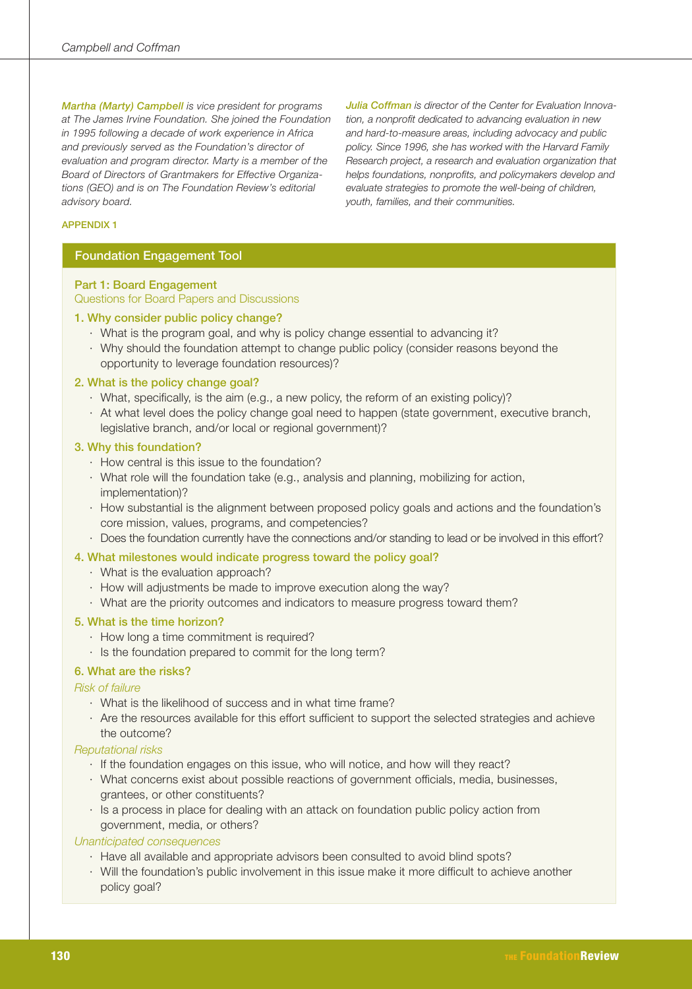Martha (Marty) Campbell is vice president for programs at The James Irvine Foundation. She joined the Foundation in 1995 following a decade of work experience in Africa and previously served as the Foundation's director of evaluation and program director. Marty is a member of the Board of Directors of Grantmakers for Effective Organizations (GEO) and is on The Foundation Review's editorial advisory board.

**Julia Coffman** is director of the Center for Evaluation Innovation, a nonprofit dedicated to advancing evaluation in new and hard-to-measure areas, including advocacy and public policy. Since 1996, she has worked with the Harvard Family Research project, a research and evaluation organization that helps foundations, nonprofits, and policymakers develop and evaluate strategies to promote the well-being of children. youth, families, and their communities.

#### **APPENDIX1**

#### **Foundation Engagement Tool**

Part 1: Board Engagement Questions for Board Papers and Discussions

#### 1. Why consider public policy change?

- · What is the program goal, and why is policy change essential to advancing it?
- · Why should the foundation attempt to change public policy (consider reasons beyond the opportunity to leverage foundation resources)?

#### 2. What is the policy change goal?

- · What, specifically, is the aim (e.g., a new policy, the reform of an existing policy)?
- At what level does the policy change goal need to happen (state government, executive branch, legislative branch, and/or local or regional government)?

#### 3. Why this foundation?

- · How central is this issue to the foundation?
- · What role will the foundation take (e.g., analysis and planning, mobilizing for action, implementation)?
- · How substantial is the alignment between proposed policy goals and actions and the foundation's core mission, values, programs, and competencies?
- · Does the foundation currently have the connections and/or standing to lead or be involved in this effort?

#### 4. What milestones would indicate progress toward the policy goal?

- · What is the evaluation approach?
- · How will adjustments be made to improve execution along the way?
- · What are the priority outcomes and indicators to measure progress toward them?

#### 5. What is the time horizon?

- · How long a time commitment is required?
- · Is the foundation prepared to commit for the long term?

#### 6. What are the risks?

#### **Risk of failure**

- What is the likelihood of success and in what time frame?
- Are the resources available for this effort sufficient to support the selected strategies and achieve the outcome?

#### **Reputational risks**

- · If the foundation engages on this issue, who will notice, and how will they react?
- · What concerns exist about possible reactions of government officials, media, businesses, grantees, or other constituents?
- · Is a process in place for dealing with an attack on foundation public policy action from government, media, or others?

#### Unanticipated consequences

- · Have all available and appropriate advisors been consulted to avoid blind spots?
- · Will the foundation's public involvement in this issue make it more difficult to achieve another policy goal?